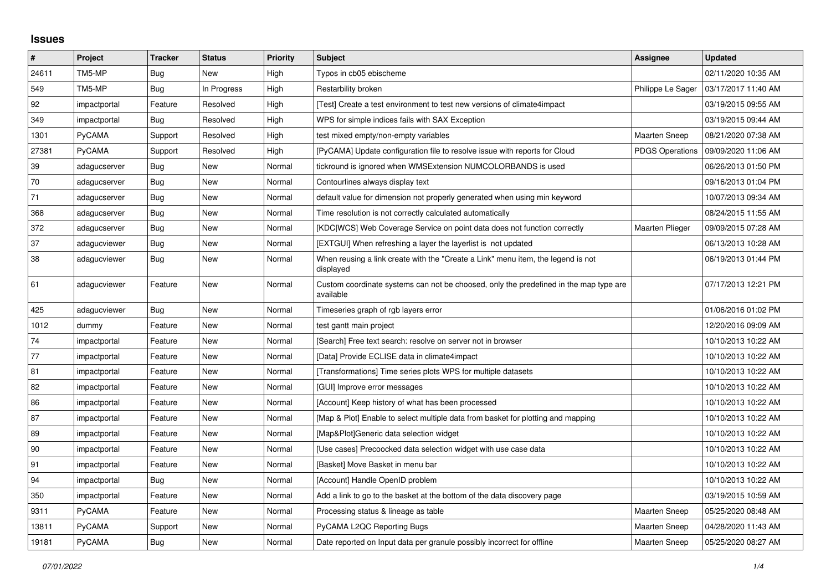## **Issues**

| $\pmb{\#}$ | Project       | <b>Tracker</b> | <b>Status</b> | <b>Priority</b> | <b>Subject</b>                                                                                     | Assignee               | <b>Updated</b>      |
|------------|---------------|----------------|---------------|-----------------|----------------------------------------------------------------------------------------------------|------------------------|---------------------|
| 24611      | TM5-MP        | <b>Bug</b>     | New           | High            | Typos in cb05 ebischeme                                                                            |                        | 02/11/2020 10:35 AM |
| 549        | TM5-MP        | Bug            | In Progress   | High            | Restarbility broken                                                                                | Philippe Le Sager      | 03/17/2017 11:40 AM |
| 92         | impactportal  | Feature        | Resolved      | High            | [Test] Create a test environment to test new versions of climate4impact                            |                        | 03/19/2015 09:55 AM |
| 349        | impactportal  | Bug            | Resolved      | High            | WPS for simple indices fails with SAX Exception                                                    |                        | 03/19/2015 09:44 AM |
| 1301       | <b>PyCAMA</b> | Support        | Resolved      | High            | test mixed empty/non-empty variables                                                               | <b>Maarten Sneep</b>   | 08/21/2020 07:38 AM |
| 27381      | <b>PyCAMA</b> | Support        | Resolved      | High            | [PyCAMA] Update configuration file to resolve issue with reports for Cloud                         | <b>PDGS Operations</b> | 09/09/2020 11:06 AM |
| 39         | adagucserver  | Bug            | New           | Normal          | tickround is ignored when WMSExtension NUMCOLORBANDS is used                                       |                        | 06/26/2013 01:50 PM |
| 70         | adagucserver  | Bug            | <b>New</b>    | Normal          | Contourlines always display text                                                                   |                        | 09/16/2013 01:04 PM |
| 71         | adagucserver  | Bug            | New           | Normal          | default value for dimension not properly generated when using min keyword                          |                        | 10/07/2013 09:34 AM |
| 368        | adagucserver  | Bug            | <b>New</b>    | Normal          | Time resolution is not correctly calculated automatically                                          |                        | 08/24/2015 11:55 AM |
| 372        | adagucserver  | Bug            | New           | Normal          | [KDC WCS] Web Coverage Service on point data does not function correctly                           | Maarten Plieger        | 09/09/2015 07:28 AM |
| 37         | adagucviewer  | Bug            | New           | Normal          | [EXTGUI] When refreshing a layer the layerlist is not updated                                      |                        | 06/13/2013 10:28 AM |
| 38         | adagucviewer  | Bug            | New           | Normal          | When reusing a link create with the "Create a Link" menu item, the legend is not<br>displayed      |                        | 06/19/2013 01:44 PM |
| 61         | adagucviewer  | Feature        | New           | Normal          | Custom coordinate systems can not be choosed, only the predefined in the map type are<br>available |                        | 07/17/2013 12:21 PM |
| 425        | adagucviewer  | Bug            | New           | Normal          | Timeseries graph of rgb layers error                                                               |                        | 01/06/2016 01:02 PM |
| 1012       | dummy         | Feature        | New           | Normal          | test gantt main project                                                                            |                        | 12/20/2016 09:09 AM |
| 74         | impactportal  | Feature        | <b>New</b>    | Normal          | [Search] Free text search: resolve on server not in browser                                        |                        | 10/10/2013 10:22 AM |
| 77         | impactportal  | Feature        | New           | Normal          | [Data] Provide ECLISE data in climate4impact                                                       |                        | 10/10/2013 10:22 AM |
| 81         | impactportal  | Feature        | New           | Normal          | [Transformations] Time series plots WPS for multiple datasets                                      |                        | 10/10/2013 10:22 AM |
| 82         | impactportal  | Feature        | <b>New</b>    | Normal          | [GUI] Improve error messages                                                                       |                        | 10/10/2013 10:22 AM |
| 86         | impactportal  | Feature        | New           | Normal          | [Account] Keep history of what has been processed                                                  |                        | 10/10/2013 10:22 AM |
| 87         | impactportal  | Feature        | New           | Normal          | [Map & Plot] Enable to select multiple data from basket for plotting and mapping                   |                        | 10/10/2013 10:22 AM |
| 89         | impactportal  | Feature        | New           | Normal          | [Map&Plot]Generic data selection widget                                                            |                        | 10/10/2013 10:22 AM |
| 90         | impactportal  | Feature        | New           | Normal          | [Use cases] Precoocked data selection widget with use case data                                    |                        | 10/10/2013 10:22 AM |
| 91         | impactportal  | Feature        | New           | Normal          | [Basket] Move Basket in menu bar                                                                   |                        | 10/10/2013 10:22 AM |
| 94         | impactportal  | Bug            | New           | Normal          | [Account] Handle OpenID problem                                                                    |                        | 10/10/2013 10:22 AM |
| 350        | impactportal  | Feature        | New           | Normal          | Add a link to go to the basket at the bottom of the data discovery page                            |                        | 03/19/2015 10:59 AM |
| 9311       | <b>PyCAMA</b> | Feature        | New           | Normal          | Processing status & lineage as table                                                               | <b>Maarten Sneep</b>   | 05/25/2020 08:48 AM |
| 13811      | PyCAMA        | Support        | New           | Normal          | PyCAMA L2QC Reporting Bugs                                                                         | <b>Maarten Sneep</b>   | 04/28/2020 11:43 AM |
| 19181      | PyCAMA        | Bug            | New           | Normal          | Date reported on Input data per granule possibly incorrect for offline                             | <b>Maarten Sneep</b>   | 05/25/2020 08:27 AM |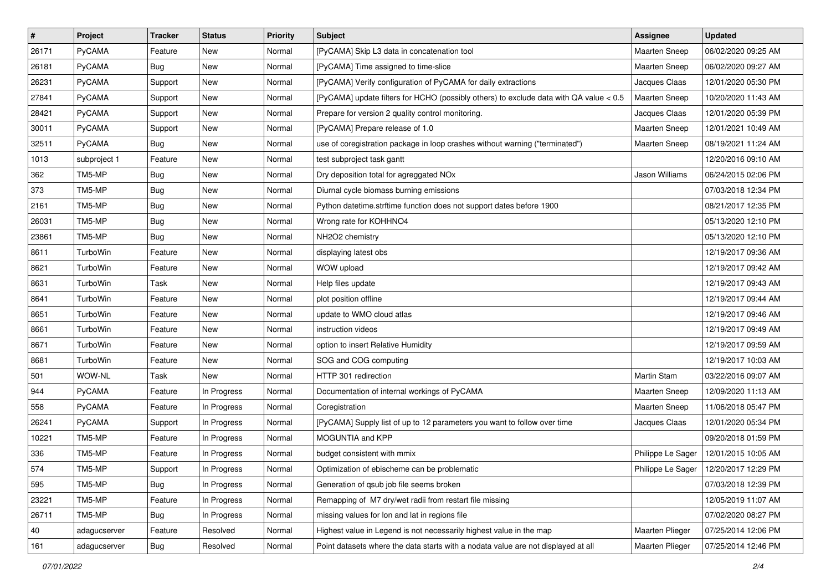| $\vert$ # | Project       | <b>Tracker</b> | <b>Status</b> | <b>Priority</b> | <b>Subject</b>                                                                         | <b>Assignee</b>      | <b>Updated</b>                          |
|-----------|---------------|----------------|---------------|-----------------|----------------------------------------------------------------------------------------|----------------------|-----------------------------------------|
| 26171     | PyCAMA        | Feature        | New           | Normal          | [PyCAMA] Skip L3 data in concatenation tool                                            | <b>Maarten Sneep</b> | 06/02/2020 09:25 AM                     |
| 26181     | PyCAMA        | <b>Bug</b>     | New           | Normal          | [PyCAMA] Time assigned to time-slice                                                   | <b>Maarten Sneep</b> | 06/02/2020 09:27 AM                     |
| 26231     | PyCAMA        | Support        | New           | Normal          | [PyCAMA] Verify configuration of PyCAMA for daily extractions                          | Jacques Claas        | 12/01/2020 05:30 PM                     |
| 27841     | PyCAMA        | Support        | New           | Normal          | [PyCAMA] update filters for HCHO (possibly others) to exclude data with QA value < 0.5 | <b>Maarten Sneep</b> | 10/20/2020 11:43 AM                     |
| 28421     | PyCAMA        | Support        | <b>New</b>    | Normal          | Prepare for version 2 quality control monitoring.                                      | Jacques Claas        | 12/01/2020 05:39 PM                     |
| 30011     | <b>PyCAMA</b> | Support        | New           | Normal          | [PyCAMA] Prepare release of 1.0                                                        | <b>Maarten Sneep</b> | 12/01/2021 10:49 AM                     |
| 32511     | PyCAMA        | <b>Bug</b>     | New           | Normal          | use of coregistration package in loop crashes without warning ("terminated")           | <b>Maarten Sneep</b> | 08/19/2021 11:24 AM                     |
| 1013      | subproject 1  | Feature        | New           | Normal          | test subproject task gantt                                                             |                      | 12/20/2016 09:10 AM                     |
| 362       | TM5-MP        | <b>Bug</b>     | New           | Normal          | Dry deposition total for agreggated NOx                                                | Jason Williams       | 06/24/2015 02:06 PM                     |
| 373       | TM5-MP        | Bug            | <b>New</b>    | Normal          | Diurnal cycle biomass burning emissions                                                |                      | 07/03/2018 12:34 PM                     |
| 2161      | TM5-MP        | <b>Bug</b>     | New           | Normal          | Python datetime.strftime function does not support dates before 1900                   |                      | 08/21/2017 12:35 PM                     |
| 26031     | TM5-MP        | Bug            | New           | Normal          | Wrong rate for KOHHNO4                                                                 |                      | 05/13/2020 12:10 PM                     |
| 23861     | TM5-MP        | <b>Bug</b>     | <b>New</b>    | Normal          | NH2O2 chemistry                                                                        |                      | 05/13/2020 12:10 PM                     |
| 8611      | TurboWin      | Feature        | <b>New</b>    | Normal          | displaying latest obs                                                                  |                      | 12/19/2017 09:36 AM                     |
| 8621      | TurboWin      | Feature        | New           | Normal          | WOW upload                                                                             |                      | 12/19/2017 09:42 AM                     |
| 8631      | TurboWin      | Task           | New           | Normal          | Help files update                                                                      |                      | 12/19/2017 09:43 AM                     |
| 8641      | TurboWin      | Feature        | New           | Normal          | plot position offline                                                                  |                      | 12/19/2017 09:44 AM                     |
| 8651      | TurboWin      | Feature        | <b>New</b>    | Normal          | update to WMO cloud atlas                                                              |                      | 12/19/2017 09:46 AM                     |
| 8661      | TurboWin      | Feature        | New           | Normal          | instruction videos                                                                     |                      | 12/19/2017 09:49 AM                     |
| 8671      | TurboWin      | Feature        | <b>New</b>    | Normal          | option to insert Relative Humidity                                                     |                      | 12/19/2017 09:59 AM                     |
| 8681      | TurboWin      | Feature        | New           | Normal          | SOG and COG computing                                                                  |                      | 12/19/2017 10:03 AM                     |
| 501       | WOW-NL        | Task           | New           | Normal          | HTTP 301 redirection                                                                   | Martin Stam          | 03/22/2016 09:07 AM                     |
| 944       | PyCAMA        | Feature        | In Progress   | Normal          | Documentation of internal workings of PyCAMA                                           | Maarten Sneep        | 12/09/2020 11:13 AM                     |
| 558       | <b>PyCAMA</b> | Feature        | In Progress   | Normal          | Coregistration                                                                         | <b>Maarten Sneep</b> | 11/06/2018 05:47 PM                     |
| 26241     | PyCAMA        | Support        | In Progress   | Normal          | [PyCAMA] Supply list of up to 12 parameters you want to follow over time               | Jacques Claas        | 12/01/2020 05:34 PM                     |
| 10221     | TM5-MP        | Feature        | In Progress   | Normal          | MOGUNTIA and KPP                                                                       |                      | 09/20/2018 01:59 PM                     |
| 336       | TM5-MP        | Feature        | In Progress   | Normal          | budget consistent with mmix                                                            | Philippe Le Sager    | 12/01/2015 10:05 AM                     |
| 574       | TM5-MP        | Support        | In Progress   | Normal          | Optimization of ebischeme can be problematic                                           |                      | Philippe Le Sager   12/20/2017 12:29 PM |
| 595       | TM5-MP        | Bug            | In Progress   | Normal          | Generation of qsub job file seems broken                                               |                      | 07/03/2018 12:39 PM                     |
| 23221     | TM5-MP        | Feature        | In Progress   | Normal          | Remapping of M7 dry/wet radii from restart file missing                                |                      | 12/05/2019 11:07 AM                     |
| 26711     | TM5-MP        | <b>Bug</b>     | In Progress   | Normal          | missing values for lon and lat in regions file                                         |                      | 07/02/2020 08:27 PM                     |
| 40        | adagucserver  | Feature        | Resolved      | Normal          | Highest value in Legend is not necessarily highest value in the map                    | Maarten Plieger      | 07/25/2014 12:06 PM                     |
| 161       | adagucserver  | Bug            | Resolved      | Normal          | Point datasets where the data starts with a nodata value are not displayed at all      | Maarten Plieger      | 07/25/2014 12:46 PM                     |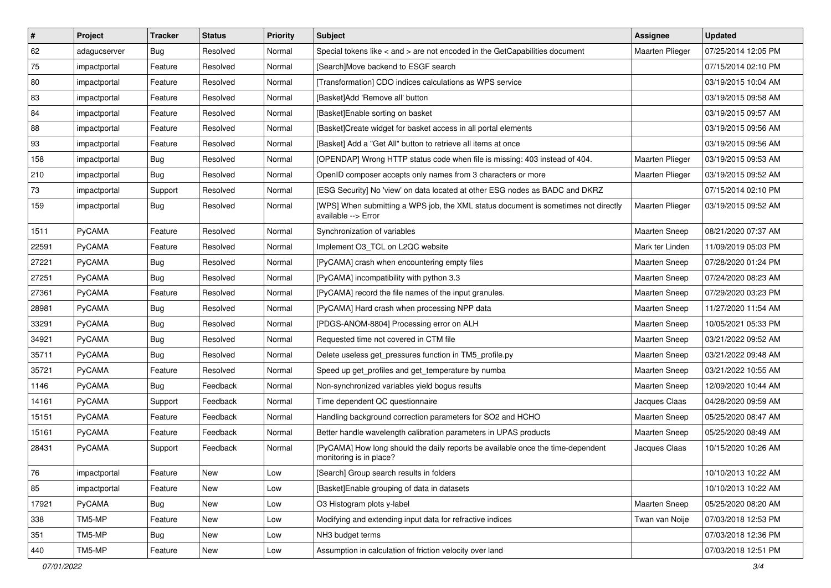| $\vert$ # | Project       | <b>Tracker</b> | <b>Status</b> | <b>Priority</b> | <b>Subject</b>                                                                                             | Assignee               | <b>Updated</b>      |
|-----------|---------------|----------------|---------------|-----------------|------------------------------------------------------------------------------------------------------------|------------------------|---------------------|
| 62        | adagucserver  | <b>Bug</b>     | Resolved      | Normal          | Special tokens like $\lt$ and $\gt$ are not encoded in the GetCapabilities document                        | <b>Maarten Plieger</b> | 07/25/2014 12:05 PM |
| 75        | impactportal  | Feature        | Resolved      | Normal          | [Search]Move backend to ESGF search                                                                        |                        | 07/15/2014 02:10 PM |
| 80        | impactportal  | Feature        | Resolved      | Normal          | [Transformation] CDO indices calculations as WPS service                                                   |                        | 03/19/2015 10:04 AM |
| 83        | impactportal  | Feature        | Resolved      | Normal          | [Basket]Add 'Remove all' button                                                                            |                        | 03/19/2015 09:58 AM |
| 84        | impactportal  | Feature        | Resolved      | Normal          | [Basket]Enable sorting on basket                                                                           |                        | 03/19/2015 09:57 AM |
| 88        | impactportal  | Feature        | Resolved      | Normal          | [Basket]Create widget for basket access in all portal elements                                             |                        | 03/19/2015 09:56 AM |
| 93        | impactportal  | Feature        | Resolved      | Normal          | [Basket] Add a "Get All" button to retrieve all items at once                                              |                        | 03/19/2015 09:56 AM |
| 158       | impactportal  | Bug            | Resolved      | Normal          | [OPENDAP] Wrong HTTP status code when file is missing: 403 instead of 404.                                 | Maarten Plieger        | 03/19/2015 09:53 AM |
| 210       | impactportal  | Bug            | Resolved      | Normal          | OpenID composer accepts only names from 3 characters or more                                               | Maarten Plieger        | 03/19/2015 09:52 AM |
| 73        | impactportal  | Support        | Resolved      | Normal          | [ESG Security] No 'view' on data located at other ESG nodes as BADC and DKRZ                               |                        | 07/15/2014 02:10 PM |
| 159       | impactportal  | <b>Bug</b>     | Resolved      | Normal          | [WPS] When submitting a WPS job, the XML status document is sometimes not directly<br>available --> Error  | Maarten Plieger        | 03/19/2015 09:52 AM |
| 1511      | PyCAMA        | Feature        | Resolved      | Normal          | Synchronization of variables                                                                               | Maarten Sneep          | 08/21/2020 07:37 AM |
| 22591     | PyCAMA        | Feature        | Resolved      | Normal          | Implement O3_TCL on L2QC website                                                                           | Mark ter Linden        | 11/09/2019 05:03 PM |
| 27221     | PyCAMA        | <b>Bug</b>     | Resolved      | Normal          | [PyCAMA] crash when encountering empty files                                                               | Maarten Sneep          | 07/28/2020 01:24 PM |
| 27251     | PyCAMA        | <b>Bug</b>     | Resolved      | Normal          | [PyCAMA] incompatibility with python 3.3                                                                   | Maarten Sneep          | 07/24/2020 08:23 AM |
| 27361     | PyCAMA        | Feature        | Resolved      | Normal          | [PyCAMA] record the file names of the input granules.                                                      | Maarten Sneep          | 07/29/2020 03:23 PM |
| 28981     | PyCAMA        | <b>Bug</b>     | Resolved      | Normal          | [PyCAMA] Hard crash when processing NPP data                                                               | Maarten Sneep          | 11/27/2020 11:54 AM |
| 33291     | PyCAMA        | <b>Bug</b>     | Resolved      | Normal          | [PDGS-ANOM-8804] Processing error on ALH                                                                   | <b>Maarten Sneep</b>   | 10/05/2021 05:33 PM |
| 34921     | PyCAMA        | <b>Bug</b>     | Resolved      | Normal          | Requested time not covered in CTM file                                                                     | <b>Maarten Sneep</b>   | 03/21/2022 09:52 AM |
| 35711     | PyCAMA        | <b>Bug</b>     | Resolved      | Normal          | Delete useless get_pressures function in TM5_profile.py                                                    | Maarten Sneep          | 03/21/2022 09:48 AM |
| 35721     | PyCAMA        | Feature        | Resolved      | Normal          | Speed up get_profiles and get_temperature by numba                                                         | Maarten Sneep          | 03/21/2022 10:55 AM |
| 1146      | PyCAMA        | <b>Bug</b>     | Feedback      | Normal          | Non-synchronized variables yield bogus results                                                             | Maarten Sneep          | 12/09/2020 10:44 AM |
| 14161     | PyCAMA        | Support        | Feedback      | Normal          | Time dependent QC questionnaire                                                                            | Jacques Claas          | 04/28/2020 09:59 AM |
| 15151     | PyCAMA        | Feature        | Feedback      | Normal          | Handling background correction parameters for SO2 and HCHO                                                 | <b>Maarten Sneep</b>   | 05/25/2020 08:47 AM |
| 15161     | PyCAMA        | Feature        | Feedback      | Normal          | Better handle wavelength calibration parameters in UPAS products                                           | Maarten Sneep          | 05/25/2020 08:49 AM |
| 28431     | <b>PyCAMA</b> | Support        | Feedback      | Normal          | [PyCAMA] How long should the daily reports be available once the time-dependent<br>monitoring is in place? | Jacques Claas          | 10/15/2020 10:26 AM |
| 76        | impactportal  | Feature        | New           | Low             | [Search] Group search results in folders                                                                   |                        | 10/10/2013 10:22 AM |
| 85        | impactportal  | Feature        | New           | Low             | [Basket]Enable grouping of data in datasets                                                                |                        | 10/10/2013 10:22 AM |
| 17921     | PyCAMA        | <b>Bug</b>     | New           | Low             | O3 Histogram plots y-label                                                                                 | Maarten Sneep          | 05/25/2020 08:20 AM |
| 338       | TM5-MP        | Feature        | New           | Low             | Modifying and extending input data for refractive indices                                                  | Twan van Noije         | 07/03/2018 12:53 PM |
| 351       | TM5-MP        | <b>Bug</b>     | New           | Low             | NH3 budget terms                                                                                           |                        | 07/03/2018 12:36 PM |
| 440       | TM5-MP        | Feature        | New           | Low             | Assumption in calculation of friction velocity over land                                                   |                        | 07/03/2018 12:51 PM |